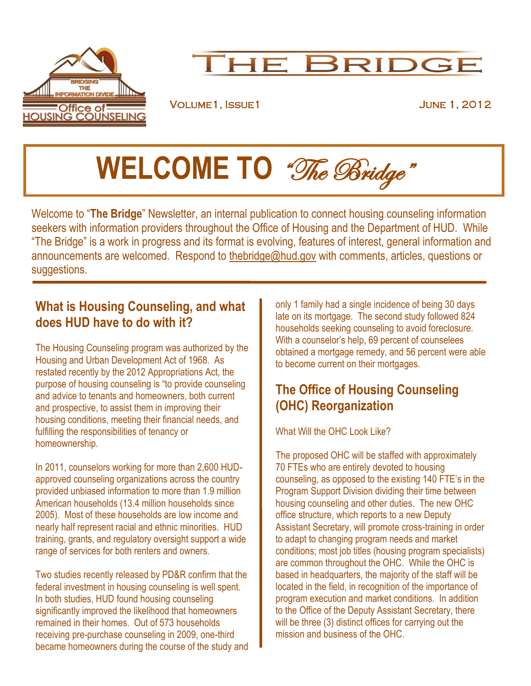

## THE BRIDGE

Volume1, Issue1 June 1, 2012

# **WELCOME TO** "The Bridge"

Welcome to "**The Bridge**" Newsletter, an internal publication to connect housing counseling information seekers with information providers throughout the Office of Housing and the Department of HUD. While "The Bridge" is a work in progress and its format is evolving, features of interest, general information and announcements are welcomed. Respond to [thebridge@hud.gov](mailto:thebridge@hud.gov) with comments, articles, questions or suggestions.

#### **What is Housing Counseling, and what does HUD have to do with it?**

The Housing Counseling program was authorized by the Housing and Urban Development Act of 1968. As restated recently by the 2012 Appropriations Act, the purpose of housing counseling is "to provide counseling and advice to tenants and homeowners, both current and prospective, to assist them in improving their housing conditions, meeting their financial needs, and fulfilling the responsibilities of tenancy or homeownership.

In 2011, counselors working for more than 2,600 HUDapproved counseling organizations across the country provided unbiased information to more than 1.9 million American households (13.4 million households since 2005). Most of these households are low income and nearly half represent racial and ethnic minorities. HUD training, grants, and regulatory oversight support a wide range of services for both renters and owners.

Two studies recently released by PD&R confirm that the federal investment in housing counseling is well spent. In both studies, HUD found housing counseling significantly improved the likelihood that homeowners remained in their homes. Out of 573 households receiving pre-purchase counseling in 2009, one-third became homeowners during the course of the study and only 1 family had a single incidence of being 30 days late on its mortgage. The second study followed 824 households seeking counseling to avoid foreclosure. With a counselor's help, 69 percent of counselees obtained a mortgage remedy, and 56 percent were able to become current on their mortgages.

### **The Office of Housing Counseling (OHC) Reorganization**

What Will the OHC Look Like?

The proposed OHC will be staffed with approximately 70 FTEs who are entirely devoted to housing counseling, as opposed to the existing 140 FTE's in the Program Support Division dividing their time between housing counseling and other duties. The new OHC office structure, which reports to a new Deputy Assistant Secretary, will promote cross-training in order to adapt to changing program needs and market conditions; most job titles (housing program specialists) are common throughout the OHC. While the OHC is based in headquarters, the majority of the staff will be located in the field, in recognition of the importance of program execution and market conditions. In addition to the Office of the Deputy Assistant Secretary, there will be three (3) distinct offices for carrying out the mission and business of the OHC.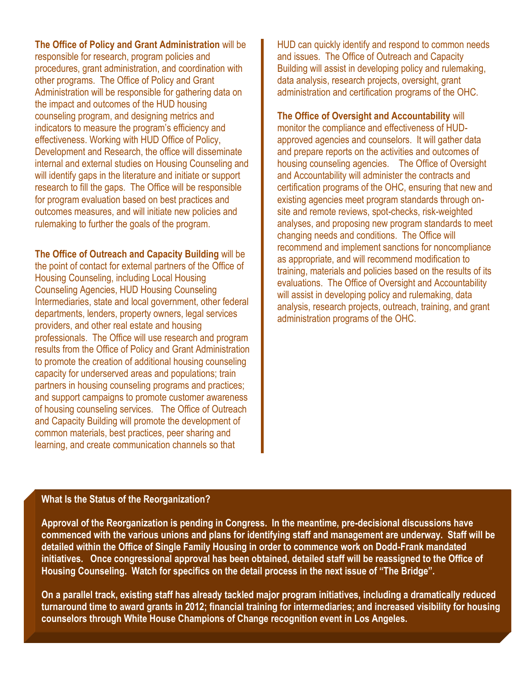**The Office of Policy and Grant Administration** will be responsible for research, program policies and procedures, grant administration, and coordination with other programs. The Office of Policy and Grant Administration will be responsible for gathering data on the impact and outcomes of the HUD housing counseling program, and designing metrics and indicators to measure the program's efficiency and effectiveness. Working with HUD Office of Policy, Development and Research, the office will disseminate internal and external studies on Housing Counseling and will identify gaps in the literature and initiate or support research to fill the gaps. The Office will be responsible for program evaluation based on best practices and outcomes measures, and will initiate new policies and rulemaking to further the goals of the program.

**The Office of Outreach and Capacity Building** will be

the point of contact for external partners of the Office of Housing Counseling, including Local Housing Counseling Agencies, HUD Housing Counseling Intermediaries, state and local government, other federal departments, lenders, property owners, legal services providers, and other real estate and housing professionals. The Office will use research and program results from the Office of Policy and Grant Administration to promote the creation of additional housing counseling capacity for underserved areas and populations; train partners in housing counseling programs and practices; and support campaigns to promote customer awareness of housing counseling services. The Office of Outreach and Capacity Building will promote the development of common materials, best practices, peer sharing and learning, and create communication channels so that

HUD can quickly identify and respond to common needs and issues. The Office of Outreach and Capacity Building will assist in developing policy and rulemaking, data analysis, research projects, oversight, grant administration and certification programs of the OHC.

**The Office of Oversight and Accountability** will

monitor the compliance and effectiveness of HUDapproved agencies and counselors. It will gather data and prepare reports on the activities and outcomes of housing counseling agencies. The Office of Oversight and Accountability will administer the contracts and certification programs of the OHC, ensuring that new and existing agencies meet program standards through onsite and remote reviews, spot-checks, risk-weighted analyses, and proposing new program standards to meet changing needs and conditions. The Office will recommend and implement sanctions for noncompliance as appropriate, and will recommend modification to training, materials and policies based on the results of its evaluations. The Office of Oversight and Accountability will assist in developing policy and rulemaking, data analysis, research projects, outreach, training, and grant administration programs of the OHC.

#### **What Is the Status of the Reorganization?**

**Approval of the Reorganization is pending in Congress. In the meantime, pre-decisional discussions have commenced with the various unions and plans for identifying staff and management are underway. Staff will be detailed within the Office of Single Family Housing in order to commence work on Dodd-Frank mandated initiatives. Once congressional approval has been obtained, detailed staff will be reassigned to the Office of Housing Counseling. Watch for specifics on the detail process in the next issue of "The Bridge".**

**On a parallel track, existing staff has already tackled major program initiatives, including a dramatically reduced turnaround time to award grants in 2012; financial training for intermediaries; and increased visibility for housing counselors through White House Champions of Change recognition event in Los Angeles.**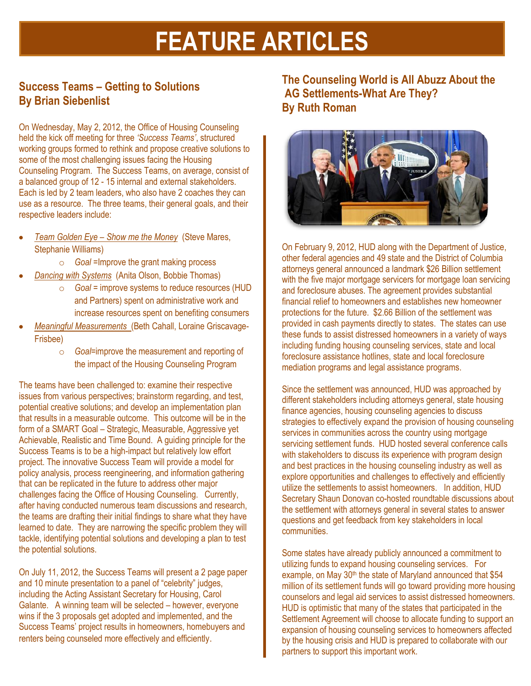# **FEATURE ARTICLES**

#### **Success Teams – Getting to Solutions By Brian Siebenlist**

On Wednesday, May 2, 2012, the Office of Housing Counseling held the kick off meeting for three *'Success Teams'*, structured working groups formed to rethink and propose creative solutions to some of the most challenging issues facing the Housing Counseling Program. The Success Teams, on average, consist of a balanced group of 12 - 15 internal and external stakeholders. Each is led by 2 team leaders, who also have 2 coaches they can use as a resource. The three teams, their general goals, and their respective leaders include:

- *Team Golden Eye – Show me the Money* (Steve Mares, Stephanie Williams)
	- o *Goal* =Improve the grant making process
- *Dancing with Systems* (Anita Olson, Bobbie Thomas)
	- o *Goal* = improve systems to reduce resources (HUD and Partners) spent on administrative work and increase resources spent on benefiting consumers
- *Meaningful Measurements* (Beth Cahall, Loraine Griscavage-Frisbee)
	- o *Goal*=improve the measurement and reporting of the impact of the Housing Counseling Program

The teams have been challenged to: examine their respective issues from various perspectives; brainstorm regarding, and test, potential creative solutions; and develop an implementation plan that results in a measurable outcome. This outcome will be in the form of a SMART Goal – Strategic, Measurable, Aggressive yet Achievable, Realistic and Time Bound. A guiding principle for the Success Teams is to be a high-impact but relatively low effort project. The innovative Success Team will provide a model for policy analysis, process reengineering, and information gathering that can be replicated in the future to address other major challenges facing the Office of Housing Counseling. Currently, after having conducted numerous team discussions and research, the teams are drafting their initial findings to share what they have learned to date. They are narrowing the specific problem they will tackle, identifying potential solutions and developing a plan to test the potential solutions.

On July 11, 2012, the Success Teams will present a 2 page paper and 10 minute presentation to a panel of "celebrity" judges, including the Acting Assistant Secretary for Housing, Carol Galante. A winning team will be selected – however, everyone wins if the 3 proposals get adopted and implemented, and the Success Teams' project results in homeowners, homebuyers and renters being counseled more effectively and efficiently.

**The Counseling World is All Abuzz About the AG Settlements-What Are They? By Ruth Roman**



On February 9, 2012, HUD along with the Department of Justice, other federal agencies and 49 state and the District of Columbia attorneys general announced a landmark \$26 Billion settlement with the five major mortgage servicers for mortgage loan servicing and foreclosure abuses. The agreement provides substantial financial relief to homeowners and establishes new homeowner protections for the future. \$2.66 Billion of the settlement was provided in cash payments directly to states. The states can use these funds to assist distressed homeowners in a variety of ways including funding housing counseling services, state and local foreclosure assistance hotlines, state and local foreclosure mediation programs and legal assistance programs.

Since the settlement was announced, HUD was approached by different stakeholders including attorneys general, state housing finance agencies, housing counseling agencies to discuss strategies to effectively expand the provision of housing counseling services in communities across the country using mortgage servicing settlement funds. HUD hosted several conference calls with stakeholders to discuss its experience with program design and best practices in the housing counseling industry as well as explore opportunities and challenges to effectively and efficiently utilize the settlements to assist homeowners. In addition, HUD Secretary Shaun Donovan co-hosted roundtable discussions about the settlement with attorneys general in several states to answer questions and get feedback from key stakeholders in local communities.

Some states have already publicly announced a commitment to utilizing funds to expand housing counseling services. For example, on May 30<sup>th</sup> the state of Maryland announced that \$54 million of its settlement funds will go toward providing more housing counselors and legal aid services to assist distressed homeowners. HUD is optimistic that many of the states that participated in the Settlement Agreement will choose to allocate funding to support an expansion of housing counseling services to homeowners affected by the housing crisis and HUD is prepared to collaborate with our partners to support this important work.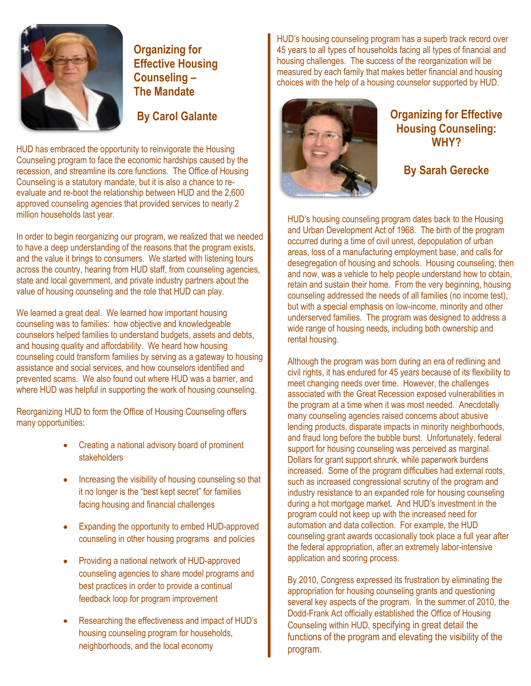

**Organizing for Effective Housing Counseling – The Mandate**

HUD has embraced the opportunity to reinvigorate the Housing Counseling program to face the economic hardships caused by the recession, and streamline its core functions. The Office of Housing Counseling is a statutory mandate, but it is also a chance to reevaluate and re-boot the relationship between HUD and the 2,600 approved counseling agencies that provided services to nearly 2 million households last year.

In order to begin reorganizing our program, we realized that we needed to have a deep understanding of the reasons that the program exists, and the value it brings to consumers. We started with listening tours across the country, hearing from HUD staff, from counseling agencies, state and local government, and private industry partners about the value of housing counseling and the role that HUD can play.

We learned a great deal. We learned how important housing counseling was to families: how objective and knowledgeable counselors helped families to understand budgets, assets and debts, and housing quality and affordability. We heard how housing counseling could transform families by serving as a gateway to housing assistance and social services, and how counselors identified and prevented scams. We also found out where HUD was a barrier, and where HUD was helpful in supporting the work of housing counseling.

Reorganizing HUD to form the Office of Housing Counseling offers many opportunities:

- Creating a national advisory board of prominent stakeholders
- Increasing the visibility of housing counseling so that it no longer is the "best kept secret" for families facing housing and financial challenges
- Expanding the opportunity to embed HUD-approved counseling in other housing programs and policies
- Providing a national network of HUD-approved counseling agencies to share model programs and best practices in order to provide a continual feedback loop for program improvement
- Researching the effectiveness and impact of HUD's housing counseling program for households, neighborhoods, and the local economy

HUD's housing counseling program has a superb track record over 45 years to all types of households facing all types of financial and housing challenges. The success of the reorganization will be measured by each family that makes better financial and housing choices with the help of a housing counselor supported by HUD.



### **Housing Counseling: WHY?**

**By Sarah Gerecke**

HUD's housing counseling program dates back to the Housing and Urban Development Act of 1968. The birth of the program occurred during a time of civil unrest, depopulation of urban areas, loss of a manufacturing employment base, and calls for desegregation of housing and schools. Housing counseling, then and now, was a vehicle to help people understand how to obtain, retain and sustain their home. From the very beginning, housing counseling addressed the needs of all families (no income test), but with a special emphasis on low-income, minority and other underserved families. The program was designed to address a wide range of housing needs, including both ownership and rental housing.

Although the program was born during an era of redlining and civil rights, it has endured for 45 years because of its flexibility to meet changing needs over time. However, the challenges associated with the Great Recession exposed vulnerabilities in the program at a time when it was most needed. Anecdotally many counseling agencies raised concerns about abusive lending products, disparate impacts in minority neighborhoods, and fraud long before the bubble burst. Unfortunately, federal support for housing counseling was perceived as marginal. Dollars for grant support shrunk, while paperwork burdens increased. Some of the program difficulties had external roots, such as increased congressional scrutiny of the program and industry resistance to an expanded role for housing counseling during a hot mortgage market. And HUD's investment in the program could not keep up with the increased need for automation and data collection. For example, the HUD counseling grant awards occasionally took place a full year after the federal appropriation, after an extremely labor-intensive application and scoring process.

By 2010, Congress expressed its frustration by eliminating the appropriation for housing counseling grants and questioning several key aspects of the program. In the summer of 2010, the Dodd-Frank Act officially established the Office of Housing Counseling within HUD, specifying in great detail the functions of the program and elevating the visibility of the program.